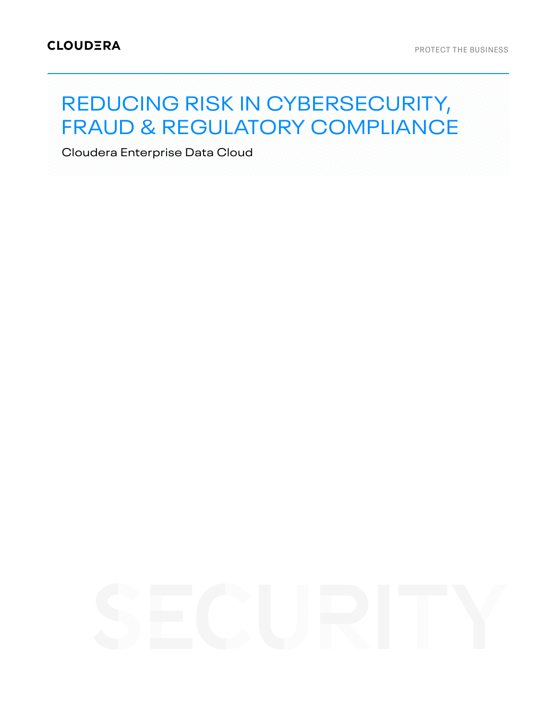# REDUCING RISK IN CYBERSECURITY, FRAUD & REGULATORY COMPLIANCE

Cloudera Enterprise Data Cloud

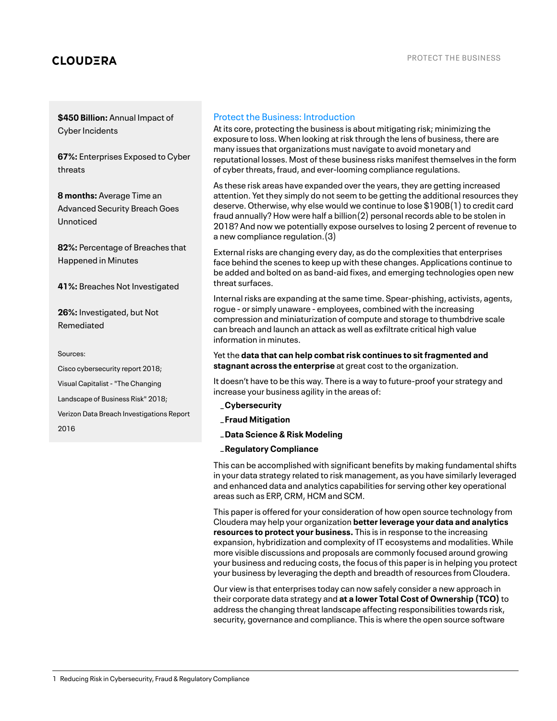## **CLOUDERA**

**\$450 Billion:** Annual Impact of Cyber Incidents

**67%:** Enterprises Exposed to Cyber threats

**8 months:** Average Time an Advanced Security Breach Goes Unnoticed

**82%:** Percentage of Breaches that Happened in Minutes

**41%:** Breaches Not Investigated

**26%:** Investigated, but Not Remediated

Sources:

Cisco cybersecurity report 2018; Visual Capitalist- "The Changing Landscape of Business Risk" 2018;

Verizon Data Breach Investigations Report

2016

## Protect the Business: Introduction

At its core, protecting the business is about mitigating risk; minimizing the exposure to loss. When looking at risk through the lens of business, there are many issues that organizations must navigate to avoid monetary and reputational losses. Most of these business risks manifest themselves in the form of cyber threats, fraud, and ever-looming compliance regulations.

As these risk areas have expanded over the years, they are getting increased attention. Yet they simply do not seem to be getting the additional resources they deserve. Otherwise, why else would we continue to lose  $$190B(1)$  to credit card fraud annually? How were half a billion(2) personal records able to be stolen in 2018? And now we potentially expose ourselves to losing 2 percent of revenue to a new compliance regulation.(3)

External risks are changing every day, as do the complexities that enterprises face behind the scenes to keep up with these changes. Applications continue to be added and bolted on as band-aid fixes, and emerging technologies open new threat surfaces.

Internal risks are expanding at the same time. Spear-phishing, activists, agents, rogue - or simply unaware - employees, combined with the increasing compression and miniaturization of compute and storage to thumbdrive scale can breach and launch an attack as well as exfiltrate critical high value information in minutes.

Yet the **data that can help combatrisk continues to sitfragmented and stagnant across the enterprise** at great cost to the organization.

It doesn't have to be this way. There is a way to future-proof your strategy and increase your business agility in the areas of:

- \_**Cybersecurity**
- \_**Fraud Mitigation**
- \_**Data Science & Risk Modeling**

\_**Regulatory Compliance**

This can be accomplished with significant benefits by making fundamental shifts in your data strategy related to risk management, as you have similarly leveraged and enhanced data and analytics capabilities for serving other key operational areas such as ERP, CRM, HCM and SCM.

This paper is offered for your consideration of how open source technology from Cloudera may help your organization **betterleverage your data and analytics resources to protect your business.** This is in response to the increasing expansion, hybridization and complexity of IT ecosystems and modalities. While more visible discussions and proposals are commonly focused around growing your business and reducing costs, the focus of this paper is in helping you protect your business by leveraging the depth and breadth of resources from Cloudera.

Our view is that enterprises today can now safely consider a new approach in their corporate data strategy and **at a lower Total Cost of Ownership (TCO)** to address the changing threat landscape affecting responsibilities towards risk, security, governance and compliance. This is where the open source software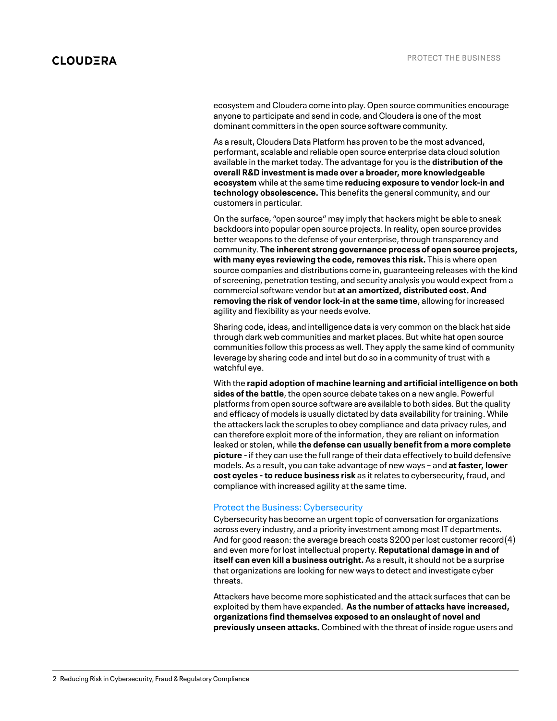ecosystem and Cloudera come into play. Open source communities encourage anyone to participate and send in code, and Cloudera is one of the most dominant committers in the open source software community.

As a result, Cloudera Data Platform has proven to be the most advanced, performant, scalable and reliable open source enterprise data cloud solution available in the market today. The advantage for you is the **distribution ofthe overall R&D investmentis made over a broader, more knowledgeable ecosystem** while at the same time **reducing exposure to vendorlock-in and technology obsolescence.** This benefits the general community, and our customers in particular.

On the surface, "open source" may imply that hackers might be able to sneak backdoors into popular open source projects. In reality, open source provides better weapons to the defense of your enterprise, through transparency and community. **The inherent strong governance process of open source projects, with many eyes reviewing the code, removes this risk.** This is where open source companies and distributions come in, guaranteeing releases with the kind of screening, penetration testing, and security analysis you would expect from a commercial software vendor but **at an amortized, distributed cost. And removing the risk of vendorlock-in atthe same time**, allowing for increased agility and flexibility as your needs evolve.

Sharing code, ideas, and intelligence data is very common on the black hat side through dark web communities and market places. But white hat open source communities follow this process as well. They apply the same kind of community leverage by sharing code and intel but do so in a community of trust with a watchful eve.

With the **rapid adoption of machine learning and artificial intelligence on both sides ofthe battle**, the open source debate takes on a new angle. Powerful platforms from open source software are available to both sides. But the quality and efficacy of models is usually dictated by data availability for training. While the attackers lack the scruples to obey compliance and data privacy rules, and can therefore exploit more of the information, they are reliant on information leaked or stolen, while **the defense can usually benefitfrom a more complete** picture - if they can use the full range of their data effectively to build defensive models. As a result, you can take advantage of new ways – and **atfaster, lower cost cycles - to reduce business risk** as it relates to cybersecurity, fraud, and compliance with increased agility at the same time.

## Protect the Business: Cybersecurity

Cybersecurity has become an urgent topic of conversation for organizations across every industry, and a priority investment among most IT departments. And for good reason: the average breach costs \$200 per lost customer record(4) and even more for lost intellectual property. **Reputational damage in and of itself can even kill a business outright.** As a result, it should not be a surprise that organizations are looking for new ways to detect and investigate cyber threats.

Attackers have become more sophisticated and the attack surfaces that can be exploited by them have expanded. **As the number of attacks have increased, organizations find themselves exposed to an onslaught of novel and previously unseen attacks.** Combined with the threat of inside rogue users and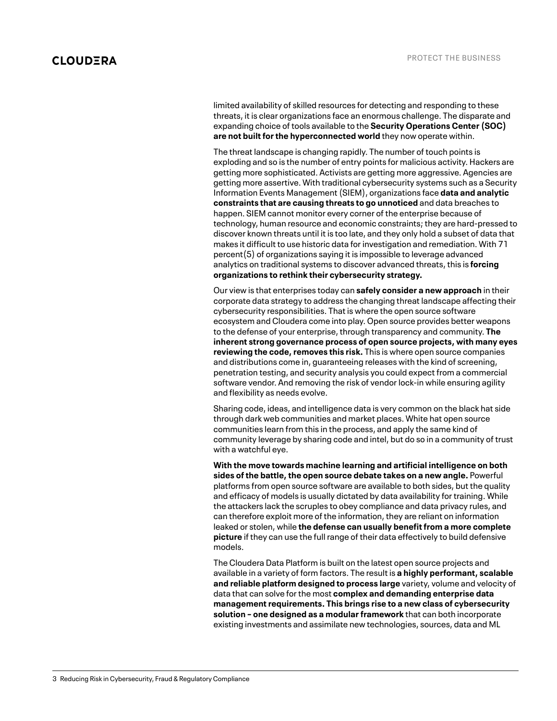limited availability of skilled resources for detecting and responding to these threats, it is clear organizations face an enormous challenge. The disparate and expanding choice of tools available to the **Security Operations Center (SOC) are not built for the hyperconnected world** they now operate within.

The threat landscape is changing rapidly. The number of touch points is exploding and so is the number of entry points for malicious activity. Hackers are getting more sophisticated. Activists are getting more aggressive. Agencies are getting more assertive. With traditional cybersecurity systems such as a Security Information Events Management(SIEM), organizations face **data and analytic constraints that are causing threats to go unnoticed** and data breaches to happen. SIEM cannot monitor every corner of the enterprise because of technology, human resource and economic constraints; they are hard-pressed to discover known threats until it is too late, and they only hold a subset of data that makes it difficult to use historic data for investigation and remediation. With 71 percent(5) of organizations saying it is impossible to leverage advanced analytics on traditional systems to discover advanced threats, this is **forcing organizations to rethink their cybersecurity strategy.**

Our view is that enterprises today can **safely consider a new approach** in their corporate data strategy to address the changing threat landscape affecting their cybersecurity responsibilities. That is where the open source software ecosystem and Cloudera come into play. Open source provides better weapons to the defense of your enterprise, through transparency and community. **The inherent strong governance process of open source projects, with many eyes reviewing the code, removes this risk.** This is where open source companies and distributions come in, guaranteeing releases with the kind of screening, penetration testing, and security analysis you could expect from a commercial software vendor. And removing the risk of vendor lock-in while ensuring agility and flexibility as needs evolve.

Sharing code, ideas, and intelligence data is very common on the black hat side through dark web communities and market places. White hat open source communities learn from this in the process, and apply the same kind of community leverage by sharing code and intel, but do so in a community of trust with a watchful eye.

**With the move towards machine learning and artificial intelligence on both sides ofthe battle,the open source debate takes on a new angle.** Powerful platforms from open source software are available to both sides, but the quality and efficacy of models is usually dictated by data availability for training. While the attackers lack the scruples to obey compliance and data privacy rules, and can therefore exploit more of the information, they are reliant on information leaked or stolen, while **the defense can usually benefitfrom a more complete picture** if they can use the full range of their data effectively to build defensive models.

The Cloudera Data Platform is built on the latest open source projects and available in a variety of form factors. The result is **a highly performant, scalable and reliable platform designed to process large** variety, volume and velocity of data that can solve for the most **complex and demanding enterprise data managementrequirements. This brings rise to a new class of cybersecurity solution – one designed as a modularframework** that can both incorporate existing investments and assimilate new technologies, sources, data and ML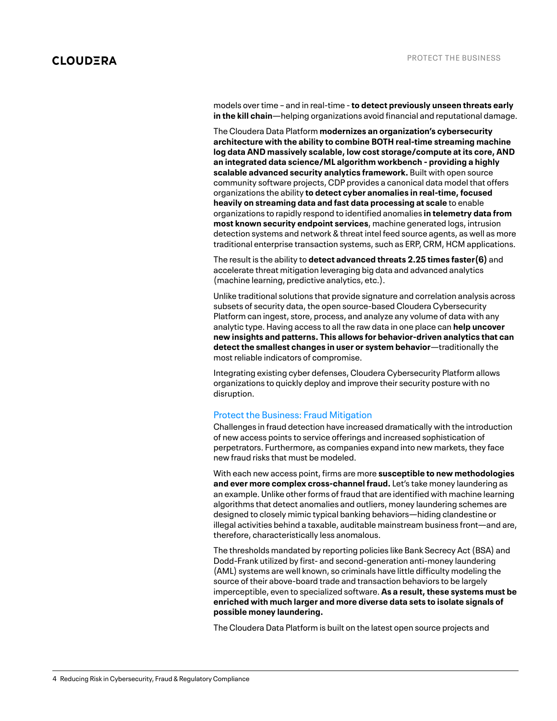models over time – and in real-time -**to detect previously unseen threats early in the kill chain**—helping organizations avoid financial and reputational damage.

The Cloudera Data Platform **modernizes an organization's cybersecurity architecture with the ability to combine BOTH real-time streaming machine log data AND massively scalable, low cost storage/compute atits core, AND an integrated data science/ML algorithm workbench - providing a highly scalable advanced security analytics framework.** Built with open source community software projects, CDP provides a canonical data model that offers organizations the ability **to detect cyber anomalies in real-time, focused heavily on streaming data and fast data processing at scale** to enable organizations to rapidly respond to identified anomalies **in telemetry data from most known security endpoint services**, machine generated logs, intrusion detection systems and network & threat intel feed source agents, as well as more traditional enterprise transaction systems, such as ERP, CRM, HCM applications.

The result is the ability to **detect advanced threats 2.25 times faster(6)** and accelerate threat mitigation leveraging big data and advanced analytics (machine learning, predictive analytics, etc.).

Unlike traditional solutions that provide signature and correlation analysis across subsets of security data, the open source-based Cloudera Cybersecurity Platform can ingest, store, process, and analyze any volume of data with any analytic type. Having access to all the raw data in one place can **help uncover new insights and patterns. This allows for behavior-driven analytics that can detectthe smallest changes in user or system behavior**—traditionally the most reliable indicators of compromise.

Integrating existing cyber defenses, Cloudera Cybersecurity Platform allows organizations to quickly deploy and improve their security posture with no disruption.

## Protect the Business: Fraud Mitigation

Challenges in fraud detection have increased dramatically with the introduction of new access points to service offerings and increased sophistication of perpetrators. Furthermore, as companies expand into new markets, they face new fraud risks that must be modeled.

With each new access point, firms are more **susceptible to new methodologies and ever more complex cross-channel fraud.** Let's take money laundering as an example. Unlike other forms of fraud that are identified with machine learning algorithms that detect anomalies and outliers, money laundering schemes are designed to closely mimic typical banking behaviors—hiding clandestine or illegal activities behind a taxable, auditable mainstream business front—and are, therefore, characteristically less anomalous.

The thresholds mandated by reporting policies like Bank Secrecy Act(BSA) and Dodd-Frank utilized by first- and second-generation anti-money laundering (AML) systems are well known, so criminals have little difficulty modeling the source of their above-board trade and transaction behaviors to be largely imperceptible, even to specialized software. As a result, these systems must be **enriched with much larger and more diverse data sets to isolate signals of possible money laundering.**

The Cloudera Data Platform is built on the latest open source projects and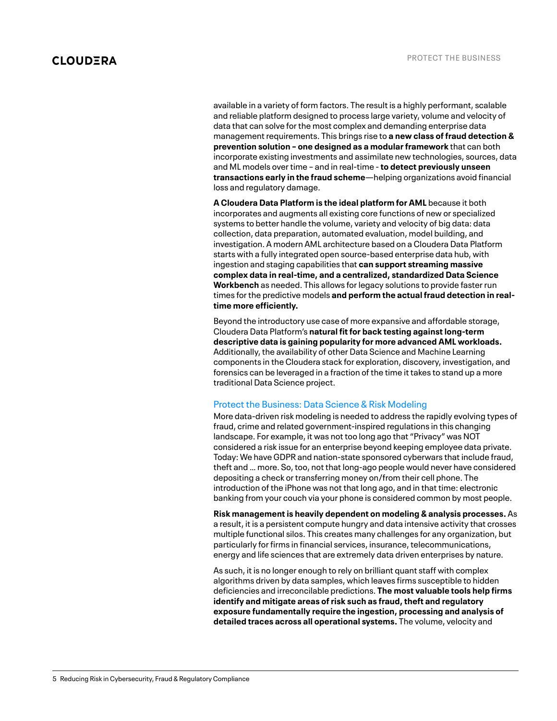available in a variety of form factors. The result is a highly performant, scalable and reliable platform designed to process large variety, volume and velocity of data that can solve for the most complex and demanding enterprise data management requirements. This brings rise to **a new class of fraud detection & prevention solution – one designed as a modularframework** that can both incorporate existing investments and assimilate new technologies, sources, data and ML models over time – and in real-time -**to detect previously unseen transactions early in the fraud scheme**—helping organizations avoid financial loss and regulatory damage.

**A Cloudera Data Platform is the ideal platform for AML** because it both incorporates and augments all existing core functions of new or specialized systems to better handle the volume, variety and velocity of big data: data collection, data preparation, automated evaluation, model building, and investigation. A modern AML architecture based on a Cloudera Data Platform starts with a fully integrated open source-based enterprise data hub, with ingestion and staging capabilities that **can support streaming massive complex data in real-time, and a centralized, standardized Data Science Workbench** as needed. This allows for legacy solutions to provide faster run times for the predictive models **and perform the actual fraud detection in realtime more efficiently.**

Beyond the introductory use case of more expansive and affordable storage, Cloudera Data Platform's **natural fitfor back testing againstlong-term descriptive data is gaining popularity for more advanced AML workloads.** Additionally, the availability of other Data Science and Machine Learning components in the Cloudera stack for exploration, discovery, investigation, and forensics can be leveraged in a fraction of the time it takes to stand up a more traditional Data Science project.

## Protect the Business: Data Science & Risk Modeling

More data-driven risk modeling is needed to address the rapidly evolving types of fraud, crime and related government-inspired regulations in this changing landscape. For example, it was not too long ago that "Privacy" was NOT considered a risk issue for an enterprise beyond keeping employee data private. Today: We have GDPR and nation-state sponsored cyberwars that include fraud, theft and … more. So, too, not that long-ago people would never have considered depositing a check or transferring money on/from their cell phone. The introduction of the iPhone was not that long ago, and in that time: electronic banking from your couch via your phone is considered common by most people.

**Risk managementis heavily dependent on modeling & analysis processes.** As a result, it is a persistent compute hungry and data intensive activity that crosses multiple functional silos. This creates many challenges for any organization, but particularly for firms in financial services, insurance, telecommunications, energy and life sciences that are extremely data driven enterprises by nature.

As such, it is no longer enough to rely on brilliant quant staff with complex algorithms driven by data samples, which leaves firms susceptible to hidden deficiencies and irreconcilable predictions. **The most valuable tools help firms identify** and mitigate areas of risk such as fraud, theft and regulatory **exposure fundamentally require the ingestion, processing and analysis of detailed traces across all operational systems.** The volume, velocity and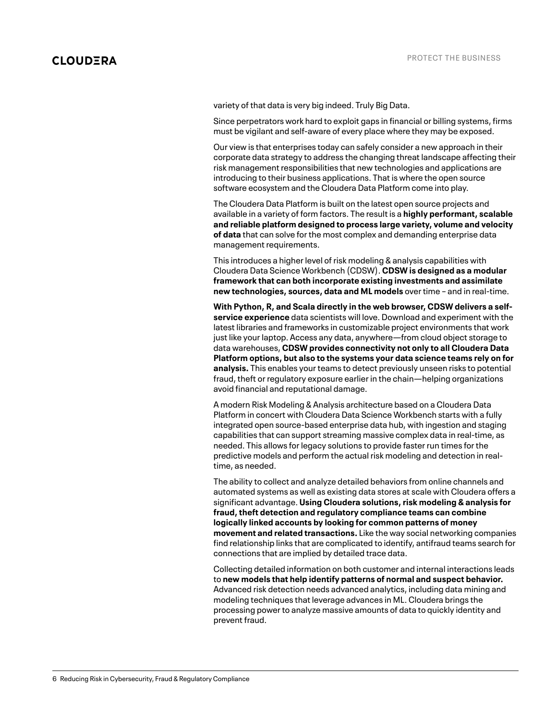variety of that data is very big indeed. Truly Big Data.

Since perpetrators work hard to exploit gaps in financial or billing systems, firms must be vigilant and self-aware of every place where they may be exposed.

Our view is that enterprises today can safely consider a new approach in their corporate data strategy to address the changing threat landscape affecting their risk management responsibilities that new technologies and applications are introducing to their business applications. That is where the open source software ecosystem and the Cloudera Data Platform come into play.

The Cloudera Data Platform is built on the latest open source projects and available in a variety of form factors. The result is a **highly performant, scalable and reliable platform designed to process large variety, volume and velocity of data** that can solve for the most complex and demanding enterprise data management requirements.

This introduces a higher level of risk modeling & analysis capabilities with Cloudera Data Science Workbench (CDSW). **CDSW is designed as a modular framework that can both incorporate existing investments and assimilate new technologies, sources, data and ML models** over time – and in real-time.

**With Python, R, and Scala directly in the web browser, CDSW delivers a selfservice experience** data scientists will love. Download and experiment with the latest libraries and frameworks in customizable project environments that work just like your laptop. Access any data, anywhere—from cloud object storage to data warehouses, **CDSW provides connectivity not only to all Cloudera Data Platform options, but also to the systems your data science teams rely on for analysis.** This enables your teams to detect previously unseen risks to potential fraud, theft or regulatory exposure earlier in the chain—helping organizations avoid financial and reputational damage.

A modern Risk Modeling & Analysis architecture based on a Cloudera Data Platform in concert with Cloudera Data Science Workbench starts with a fully integrated open source-based enterprise data hub, with ingestion and staging capabilities that can support streaming massive complex data in real-time, as needed. This allows for legacy solutions to provide faster run times for the predictive models and perform the actual risk modeling and detection in realtime, as needed.

The ability to collect and analyze detailed behaviors from online channels and automated systems as well as existing data stores at scale with Cloudera offers a significant advantage. **Using Cloudera solutions,risk modeling & analysis for fraud,theft detection and regulatory compliance teams can combine logically linked accounts by looking for common patterns of money movement and related transactions.** Like the way social networking companies find relationship links that are complicated to identify, antifraud teams search for connections that are implied by detailed trace data.

Collecting detailed information on both customer and internal interactions leads to **new models that help identify patterns of normal and suspect behavior.** Advanced risk detection needs advanced analytics, including data mining and modeling techniques that leverage advances in ML. Cloudera brings the processing power to analyze massive amounts of data to quickly identity and prevent fraud.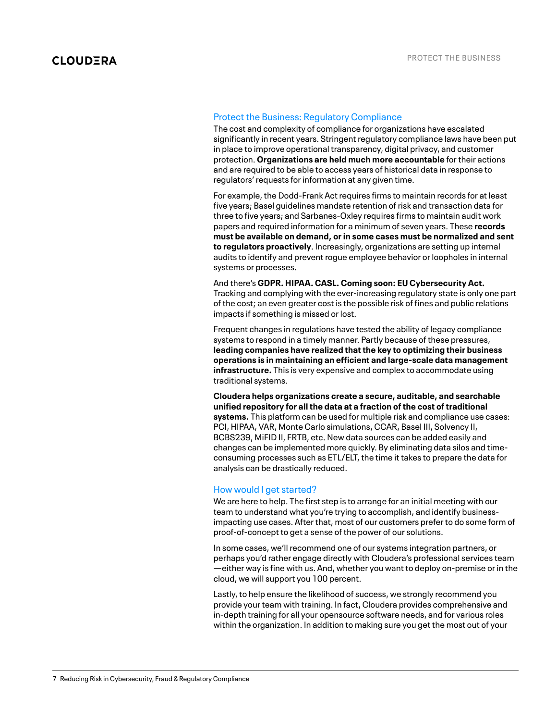## Protect the Business: Regulatory Compliance

The cost and complexity of compliance for organizations have escalated significantly in recent years. Stringent regulatory compliance laws have been put in place to improve operational transparency, digital privacy, and customer protection. **Organizations are held much more accountable** for their actions and are required to be able to access years of historical data in response to regulators' requests for information at any given time.

For example, the Dodd-Frank Act requires firms to maintain records for at least five years; Basel guidelines mandate retention of risk and transaction data for three to five years; and Sarbanes-Oxley requires firms to maintain audit work papers and required information for a minimum of seven years. These **records must be available on demand, orin some cases must be normalized and sent to regulators proactively**. Increasingly, organizations are setting up internal audits to identify and prevent rogue employee behavior or loopholes in internal systems or processes.

And there's **GDPR. HIPAA. CASL. Coming soon: EU Cybersecurity Act.** Tracking and complying with the ever-increasing regulatory state is only one part of the cost; an even greater cost is the possible risk of fines and public relations impacts if something is missed or lost.

Frequent changes in regulations have tested the ability of legacy compliance systems to respond in a timely manner. Partly because of these pressures, **leading companies have realized thatthe key to optimizing their business operations is in maintaining an efficient and large-scale data management infrastructure.** This is very expensive and complex to accommodate using traditional systems.

**Cloudera helps organizations create a secure, auditable, and searchable unified repository for allthe data at a fraction ofthe cost oftraditional systems.** This platform can be used for multiple risk and compliance use cases: PCI, HIPAA, VAR, Monte Carlo simulations, CCAR, Basel III, Solvency II, BCBS239, MiFID II, FRTB, etc. New data sources can be added easily and changes can be implemented more quickly. By eliminating data silos and timeconsuming processes such as ETL/ELT, the time it takes to prepare the data for analysis can be drastically reduced.

## How would I get started?

We are here to help. The first step is to arrange for an initial meeting with our team to understand what you're trying to accomplish, and identify businessimpacting use cases. After that, most of our customers prefer to do some form of proof-of-concept to get a sense of the power of our solutions.

In some cases, we'll recommend one of our systems integration partners, or perhaps you'd rather engage directly with Cloudera's professional services team —either way is fine with us. And, whether you want to deploy on-premise or in the cloud, we will support you 100 percent.

Lastly, to help ensure the likelihood of success, we strongly recommend you provide your team with training. In fact, Cloudera provides comprehensive and in-depth training for all your opensource software needs, and for various roles within the organization. In addition to making sure you get the most out of your